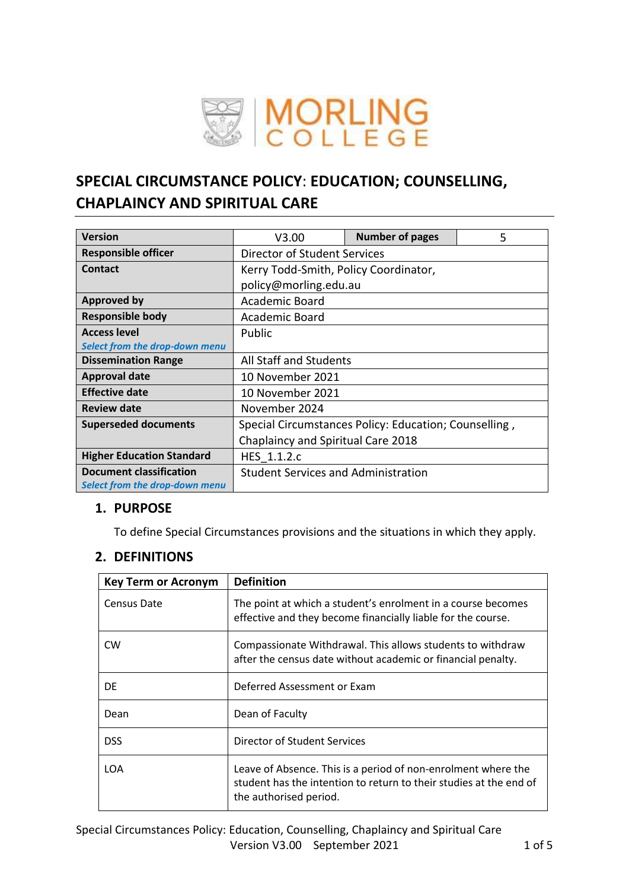

# **SPECIAL CIRCUMSTANCE POLICY**: **EDUCATION; COUNSELLING, CHAPLAINCY AND SPIRITUAL CARE**

| <b>Version</b>                   | V3.00                                      | <b>Number of pages</b>                                | 5 |
|----------------------------------|--------------------------------------------|-------------------------------------------------------|---|
| <b>Responsible officer</b>       | Director of Student Services               |                                                       |   |
| <b>Contact</b>                   | Kerry Todd-Smith, Policy Coordinator,      |                                                       |   |
|                                  | policy@morling.edu.au                      |                                                       |   |
| <b>Approved by</b>               | Academic Board                             |                                                       |   |
| <b>Responsible body</b>          | Academic Board                             |                                                       |   |
| <b>Access level</b>              | Public                                     |                                                       |   |
| Select from the drop-down menu   |                                            |                                                       |   |
| <b>Dissemination Range</b>       | All Staff and Students                     |                                                       |   |
| <b>Approval date</b>             | 10 November 2021                           |                                                       |   |
| <b>Effective date</b>            | 10 November 2021                           |                                                       |   |
| <b>Review date</b>               | November 2024                              |                                                       |   |
| <b>Superseded documents</b>      |                                            | Special Circumstances Policy: Education; Counselling, |   |
|                                  | Chaplaincy and Spiritual Care 2018         |                                                       |   |
| <b>Higher Education Standard</b> | HES 1.1.2.c                                |                                                       |   |
| <b>Document classification</b>   | <b>Student Services and Administration</b> |                                                       |   |
| Select from the drop-down menu   |                                            |                                                       |   |

# **1. PURPOSE**

To define Special Circumstances provisions and the situations in which they apply.

# **2. DEFINITIONS**

| <b>Key Term or Acronym</b> | <b>Definition</b>                                                                                                                                             |
|----------------------------|---------------------------------------------------------------------------------------------------------------------------------------------------------------|
| Census Date                | The point at which a student's enrolment in a course becomes<br>effective and they become financially liable for the course.                                  |
| <b>CW</b>                  | Compassionate Withdrawal. This allows students to withdraw<br>after the census date without academic or financial penalty.                                    |
| DE                         | Deferred Assessment or Exam                                                                                                                                   |
| Dean                       | Dean of Faculty                                                                                                                                               |
| <b>DSS</b>                 | Director of Student Services                                                                                                                                  |
| LOA                        | Leave of Absence. This is a period of non-enrolment where the<br>student has the intention to return to their studies at the end of<br>the authorised period. |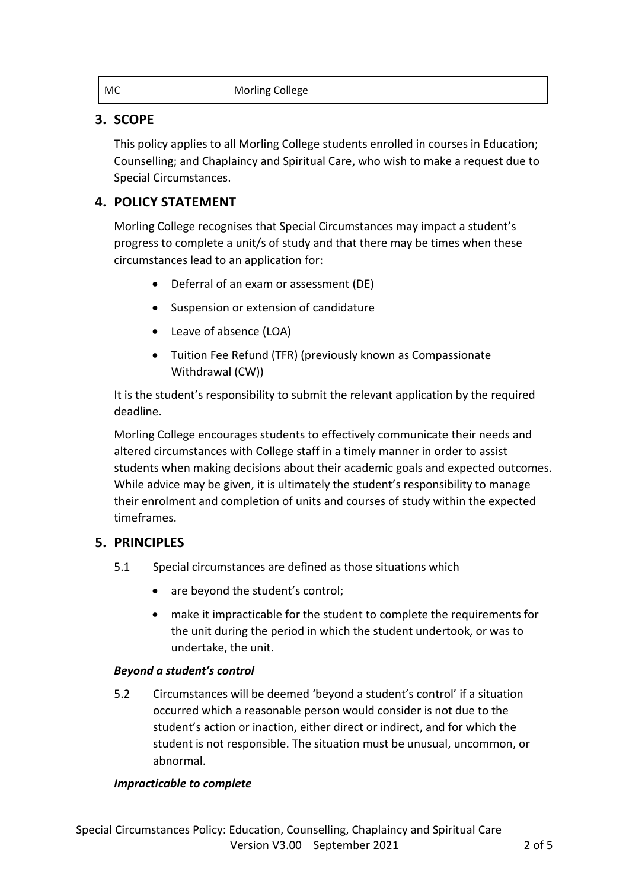| MC | <b>Morling College</b> |
|----|------------------------|
|----|------------------------|

# **3. SCOPE**

This policy applies to all Morling College students enrolled in courses in Education; Counselling; and Chaplaincy and Spiritual Care, who wish to make a request due to Special Circumstances.

# **4. POLICY STATEMENT**

Morling College recognises that Special Circumstances may impact a student's progress to complete a unit/s of study and that there may be times when these circumstances lead to an application for:

- Deferral of an exam or assessment (DE)
- Suspension or extension of candidature
- Leave of absence (LOA)
- Tuition Fee Refund (TFR) (previously known as Compassionate Withdrawal (CW))

It is the student's responsibility to submit the relevant application by the required deadline.

Morling College encourages students to effectively communicate their needs and altered circumstances with College staff in a timely manner in order to assist students when making decisions about their academic goals and expected outcomes. While advice may be given, it is ultimately the student's responsibility to manage their enrolment and completion of units and courses of study within the expected timeframes.

# **5. PRINCIPLES**

- 5.1 Special circumstances are defined as those situations which
	- are beyond the student's control;
	- make it impracticable for the student to complete the requirements for the unit during the period in which the student undertook, or was to undertake, the unit.

#### *Beyond a student's control*

5.2 Circumstances will be deemed 'beyond a student's control' if a situation occurred which a reasonable person would consider is not due to the student's action or inaction, either direct or indirect, and for which the student is not responsible. The situation must be unusual, uncommon, or abnormal.

#### *Impracticable to complete*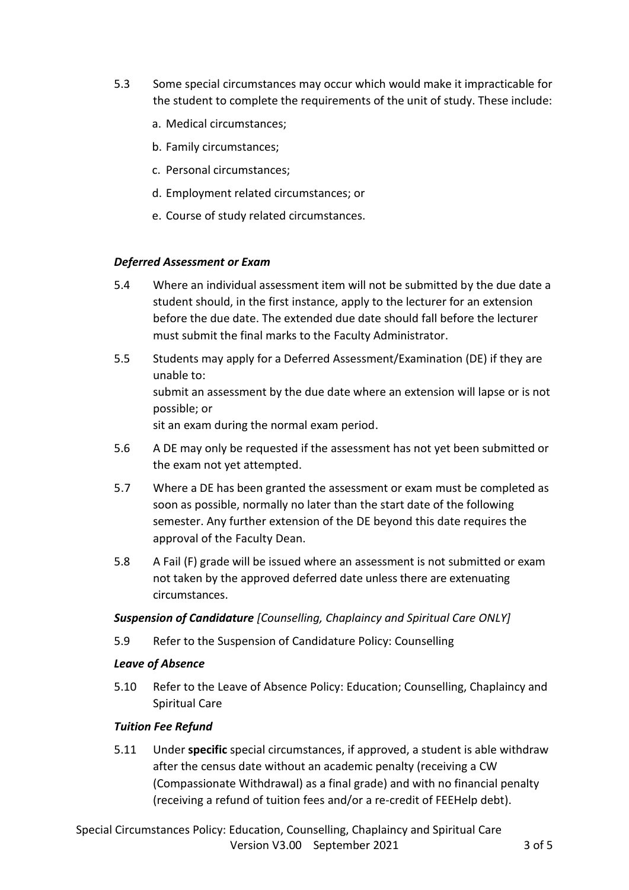- 5.3 Some special circumstances may occur which would make it impracticable for the student to complete the requirements of the unit of study. These include:
	- a. Medical circumstances;
	- b. Family circumstances;
	- c. Personal circumstances;
	- d. Employment related circumstances; or
	- e. Course of study related circumstances.

#### *Deferred Assessment or Exam*

- 5.4 Where an individual assessment item will not be submitted by the due date a student should, in the first instance, apply to the lecturer for an extension before the due date. The extended due date should fall before the lecturer must submit the final marks to the Faculty Administrator.
- 5.5 Students may apply for a Deferred Assessment/Examination (DE) if they are unable to: submit an assessment by the due date where an extension will lapse or is not possible; or sit an exam during the normal exam period.
- 5.6 A DE may only be requested if the assessment has not yet been submitted or the exam not yet attempted.
- 5.7 Where a DE has been granted the assessment or exam must be completed as soon as possible, normally no later than the start date of the following semester. Any further extension of the DE beyond this date requires the approval of the Faculty Dean.
- 5.8 A Fail (F) grade will be issued where an assessment is not submitted or exam not taken by the approved deferred date unless there are extenuating circumstances.

#### *Suspension of Candidature [Counselling, Chaplaincy and Spiritual Care ONLY]*

5.9 Refer to the Suspension of Candidature Policy: Counselling

#### *Leave of Absence*

5.10 Refer to the Leave of Absence Policy: Education; Counselling, Chaplaincy and Spiritual Care

# *Tuition Fee Refund*

5.11 Under **specific** special circumstances, if approved, a student is able withdraw after the census date without an academic penalty (receiving a CW (Compassionate Withdrawal) as a final grade) and with no financial penalty (receiving a refund of tuition fees and/or a re-credit of FEEHelp debt).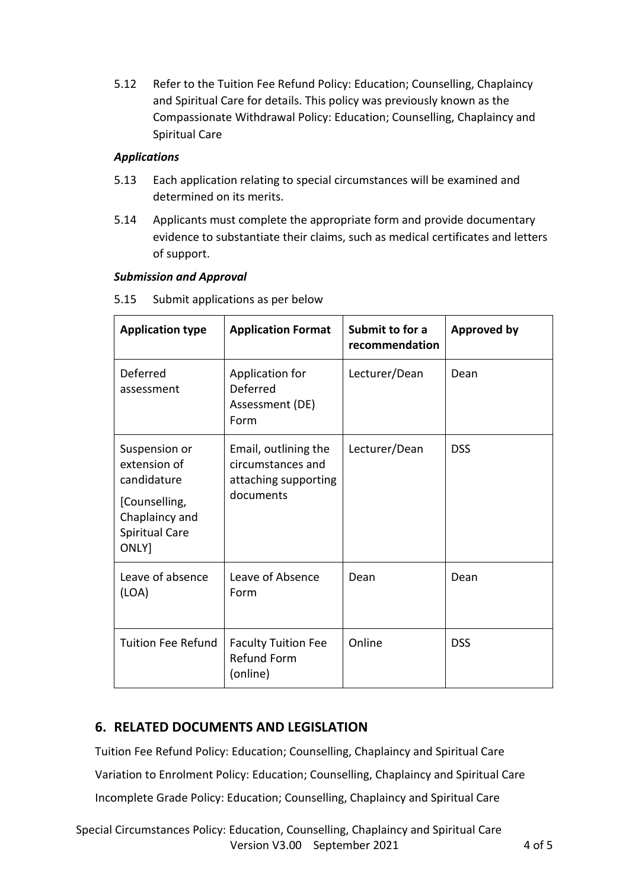5.12 Refer to the Tuition Fee Refund Policy: Education; Counselling, Chaplaincy and Spiritual Care for details. This policy was previously known as the Compassionate Withdrawal Policy: Education; Counselling, Chaplaincy and Spiritual Care

### *Applications*

- 5.13 Each application relating to special circumstances will be examined and determined on its merits.
- 5.14 Applicants must complete the appropriate form and provide documentary evidence to substantiate their claims, such as medical certificates and letters of support.

#### *Submission and Approval*

| <b>Application type</b>                                                                                           | <b>Application Format</b>                                                      | Submit to for a<br>recommendation | <b>Approved by</b> |
|-------------------------------------------------------------------------------------------------------------------|--------------------------------------------------------------------------------|-----------------------------------|--------------------|
| Deferred<br>assessment                                                                                            | Application for<br>Deferred<br>Assessment (DE)<br>Form                         | Lecturer/Dean                     | Dean               |
| Suspension or<br>extension of<br>candidature<br>[Counselling,<br>Chaplaincy and<br><b>Spiritual Care</b><br>ONLY] | Email, outlining the<br>circumstances and<br>attaching supporting<br>documents | Lecturer/Dean                     | <b>DSS</b>         |
| Leave of absence<br>(LOA)                                                                                         | Leave of Absence<br>Form                                                       | Dean                              | Dean               |
| <b>Tuition Fee Refund</b>                                                                                         | <b>Faculty Tuition Fee</b><br><b>Refund Form</b><br>(online)                   | Online                            | <b>DSS</b>         |

5.15 Submit applications as per below

# **6. RELATED DOCUMENTS AND LEGISLATION**

Tuition Fee Refund Policy: Education; Counselling, Chaplaincy and Spiritual Care [Variation to Enrolment Policy: Education; Counselling, Chaplaincy and Spiritual Care](file:///G:/Shared%20drives/Shared%20data/Policies/Student%20Policies/Variation%20to%20Enrolment%20Policy%20E%20CCSC%20Oct%202018.pdf) [Incomplete Grade Policy: Education; Counselling, Chaplaincy and Spiritual Care](file:///G:/Shared%20drives/Shared%20data/Policies/Student%20Policies/Incomplete%20Grade%20Policy_Ed%20CCSC%202018.pdf)